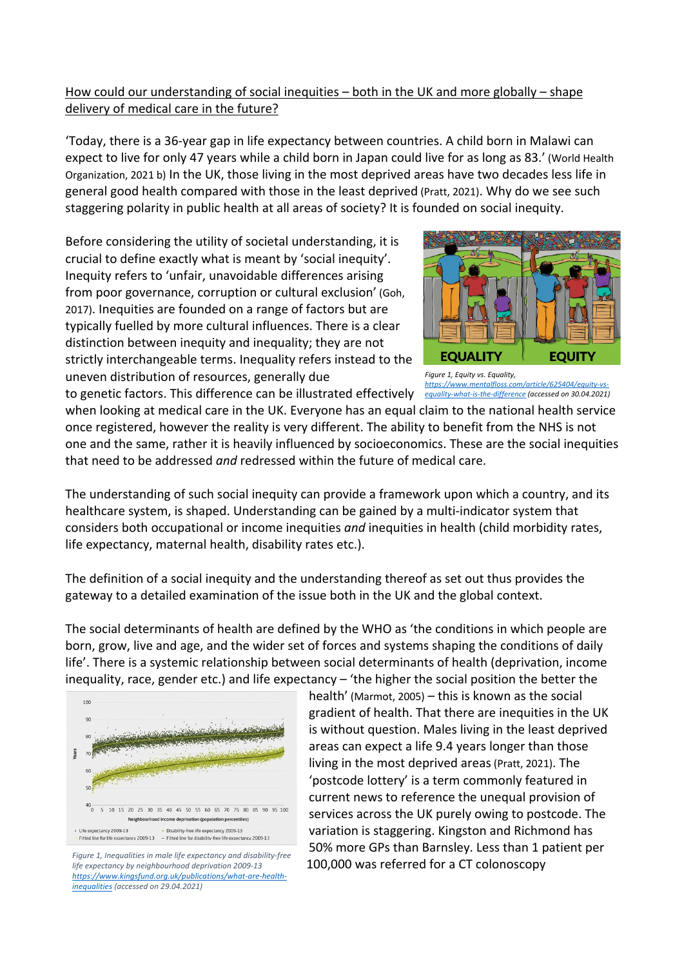## How could our understanding of social inequities – both in the UK and more globally – shape delivery of medical care in the future?

'Today, there is a 36-year gap in life expectancy between countries. A child born in Malawi can expect to live for only 47 years while a child born in Japan could live for as long as 83.' (World Health Organization, 2021 b) In the UK, those living in the most deprived areas have two decades less life in general good health compared with those in the least deprived (Pratt, 2021). Why do we see such staggering polarity in public health at all areas of society? It is founded on social inequity.

Before considering the utility of societal understanding, it is crucial to define exactly what is meant by 'social inequity'. Inequity refers to 'unfair, unavoidable differences arising from poor governance, corruption or cultural exclusion' (Goh, 2017). Inequities are founded on a range of factors but are typically fuelled by more cultural influences. There is a clear distinction between inequity and inequality; they are not strictly interchangeable terms. Inequality refers instead to the uneven distribution of resources, generally due



to genetic factors. This difference can be illustrated effectively *equality-what-is-the-difference (accessed on 30.04.2021) Figure 1, Equity vs. Equality, https://www.mentalfloss.com/article/625404/equity-vs-*

when looking at medical care in the UK. Everyone has an equal claim to the national health service once registered, however the reality is very different. The ability to benefit from the NHS is not one and the same, rather it is heavily influenced by socioeconomics. These are the social inequities that need to be addressed *and* redressed within the future of medical care.

The understanding of such social inequity can provide a framework upon which a country, and its healthcare system, is shaped. Understanding can be gained by a multi-indicator system that considers both occupational or income inequities *and* inequities in health (child morbidity rates, life expectancy, maternal health, disability rates etc.).

The definition of a social inequity and the understanding thereof as set out thus provides the gateway to a detailed examination of the issue both in the UK and the global context.

The social determinants of health are defined by the WHO as 'the conditions in which people are born, grow, live and age, and the wider set of forces and systems shaping the conditions of daily life'. There is a systemic relationship between social determinants of health (deprivation, income inequality, race, gender etc.) and life expectancy – 'the higher the social position the better the



*Figure 1, Inequalities in male life expectancy and disability-free life expectancy by neighbourhood deprivation 2009-13 https://www.kingsfund.org.uk/publications/what-are-healthinequalities (accessed on 29.04.2021)*

health' (Marmot, 2005) – this is known as the social gradient of health. That there are inequities in the UK is without question. Males living in the least deprived areas can expect a life 9.4 years longer than those living in the most deprived areas(Pratt, 2021). The 'postcode lottery' is a term commonly featured in current news to reference the unequal provision of services across the UK purely owing to postcode. The variation is staggering. Kingston and Richmond has 50% more GPs than Barnsley. Less than 1 patient per 100,000 was referred for a CT colonoscopy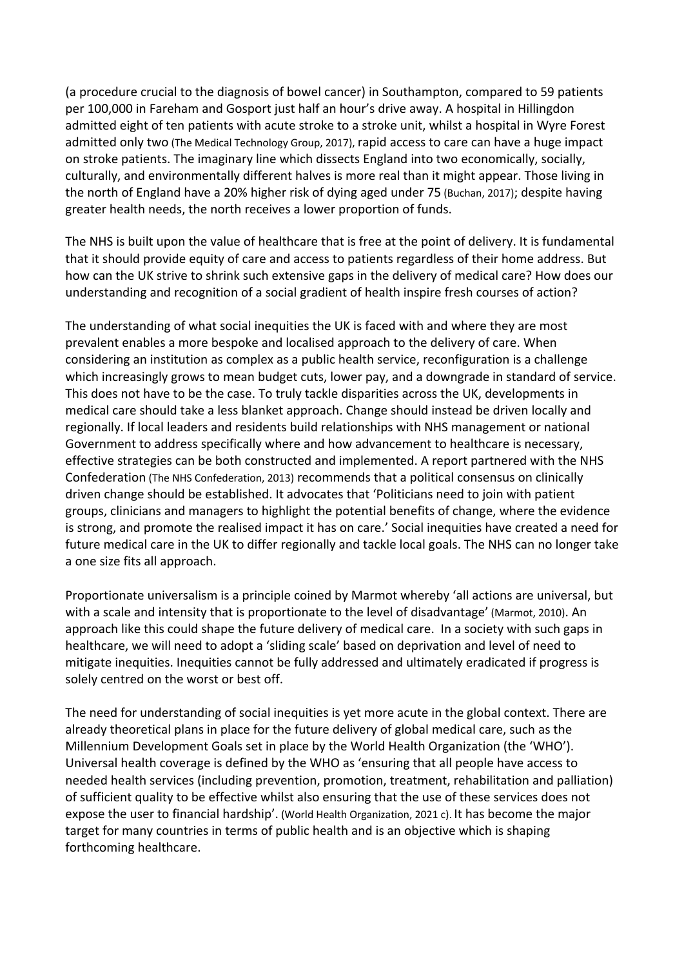(a procedure crucial to the diagnosis of bowel cancer) in Southampton, compared to 59 patients per 100,000 in Fareham and Gosport just half an hour's drive away. A hospital in Hillingdon admitted eight of ten patients with acute stroke to a stroke unit, whilst a hospital in Wyre Forest admitted only two (The Medical Technology Group, 2017), rapid access to care can have a huge impact on stroke patients. The imaginary line which dissects England into two economically, socially, culturally, and environmentally different halves is more real than it might appear. Those living in the north of England have a 20% higher risk of dying aged under 75 (Buchan, 2017); despite having greater health needs, the north receives a lower proportion of funds.

The NHS is built upon the value of healthcare that is free at the point of delivery. It is fundamental that it should provide equity of care and access to patients regardless of their home address. But how can the UK strive to shrink such extensive gaps in the delivery of medical care? How does our understanding and recognition of a social gradient of health inspire fresh courses of action?

The understanding of what social inequities the UK is faced with and where they are most prevalent enables a more bespoke and localised approach to the delivery of care. When considering an institution as complex as a public health service, reconfiguration is a challenge which increasingly grows to mean budget cuts, lower pay, and a downgrade in standard of service. This does not have to be the case. To truly tackle disparities across the UK, developments in medical care should take a less blanket approach. Change should instead be driven locally and regionally. If local leaders and residents build relationships with NHS management or national Government to address specifically where and how advancement to healthcare is necessary, effective strategies can be both constructed and implemented. A report partnered with the NHS Confederation (The NHS Confederation, 2013) recommends that a political consensus on clinically driven change should be established. It advocates that 'Politicians need to join with patient groups, clinicians and managers to highlight the potential benefits of change, where the evidence is strong, and promote the realised impact it has on care.' Social inequities have created a need for future medical care in the UK to differ regionally and tackle local goals. The NHS can no longer take a one size fits all approach.

Proportionate universalism is a principle coined by Marmot whereby 'all actions are universal, but with a scale and intensity that is proportionate to the level of disadvantage' (Marmot, 2010). An approach like this could shape the future delivery of medical care. In a society with such gaps in healthcare, we will need to adopt a 'sliding scale' based on deprivation and level of need to mitigate inequities. Inequities cannot be fully addressed and ultimately eradicated if progress is solely centred on the worst or best off.

The need for understanding of social inequities is yet more acute in the global context. There are already theoretical plans in place for the future delivery of global medical care, such as the Millennium Development Goals set in place by the World Health Organization (the 'WHO'). Universal health coverage is defined by the WHO as 'ensuring that all people have access to needed health services (including prevention, promotion, treatment, rehabilitation and palliation) of sufficient quality to be effective whilst also ensuring that the use of these services does not expose the user to financial hardship'. (World Health Organization, 2021 c). It has become the major target for many countries in terms of public health and is an objective which is shaping forthcoming healthcare.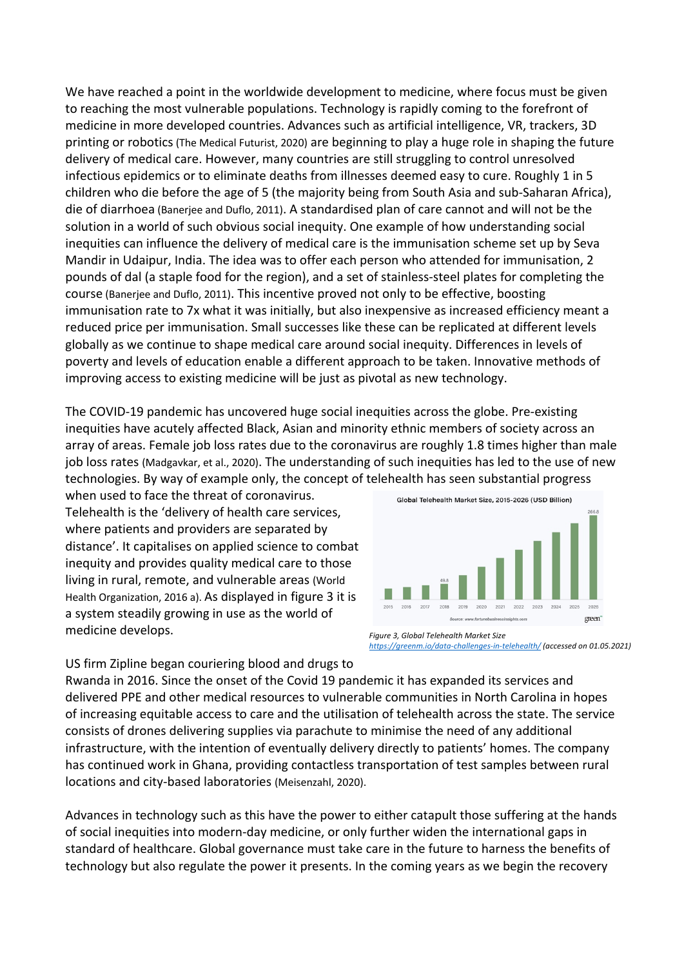We have reached a point in the worldwide development to medicine, where focus must be given to reaching the most vulnerable populations. Technology is rapidly coming to the forefront of medicine in more developed countries. Advances such as artificial intelligence, VR, trackers, 3D printing or robotics(The Medical Futurist, 2020) are beginning to play a huge role in shaping the future delivery of medical care. However, many countries are still struggling to control unresolved infectious epidemics or to eliminate deaths from illnesses deemed easy to cure. Roughly 1 in 5 children who die before the age of 5 (the majority being from South Asia and sub-Saharan Africa), die of diarrhoea (Banerjee and Duflo, 2011). A standardised plan of care cannot and will not be the solution in a world of such obvious social inequity. One example of how understanding social inequities can influence the delivery of medical care is the immunisation scheme set up by Seva Mandir in Udaipur, India. The idea was to offer each person who attended for immunisation, 2 pounds of dal (a staple food for the region), and a set of stainless-steel plates for completing the course (Banerjee and Duflo, 2011). This incentive proved not only to be effective, boosting immunisation rate to 7x what it was initially, but also inexpensive as increased efficiency meant a reduced price per immunisation. Small successes like these can be replicated at different levels globally as we continue to shape medical care around social inequity. Differences in levels of poverty and levels of education enable a different approach to be taken. Innovative methods of improving access to existing medicine will be just as pivotal as new technology.

The COVID-19 pandemic has uncovered huge social inequities across the globe. Pre-existing inequities have acutely affected Black, Asian and minority ethnic members of society across an array of areas. Female job loss rates due to the coronavirus are roughly 1.8 times higher than male job loss rates (Madgavkar, et al., 2020). The understanding of such inequities has led to the use of new technologies. By way of example only, the concept of telehealth has seen substantial progress

when used to face the threat of coronavirus. Telehealth is the 'delivery of health care services, where patients and providers are separated by distance'. It capitalises on applied science to combat inequity and provides quality medical care to those living in rural, remote, and vulnerable areas (World Health Organization, 2016 a). As displayed in figure 3 it is a system steadily growing in use as the world of medicine develops.



*Figure 3, Global Telehealth Market Size https://greenm.io/data-challenges-in-telehealth/ (accessed on 01.05.2021)*

US firm Zipline began couriering blood and drugs to

Rwanda in 2016. Since the onset of the Covid 19 pandemic it has expanded its services and delivered PPE and other medical resources to vulnerable communities in North Carolina in hopes of increasing equitable access to care and the utilisation of telehealth across the state. The service consists of drones delivering supplies via parachute to minimise the need of any additional infrastructure, with the intention of eventually delivery directly to patients' homes. The company has continued work in Ghana, providing contactless transportation of test samples between rural locations and city-based laboratories (Meisenzahl, 2020).

Advances in technology such as this have the power to either catapult those suffering at the hands of social inequities into modern-day medicine, or only further widen the international gaps in standard of healthcare. Global governance must take care in the future to harness the benefits of technology but also regulate the power it presents. In the coming years as we begin the recovery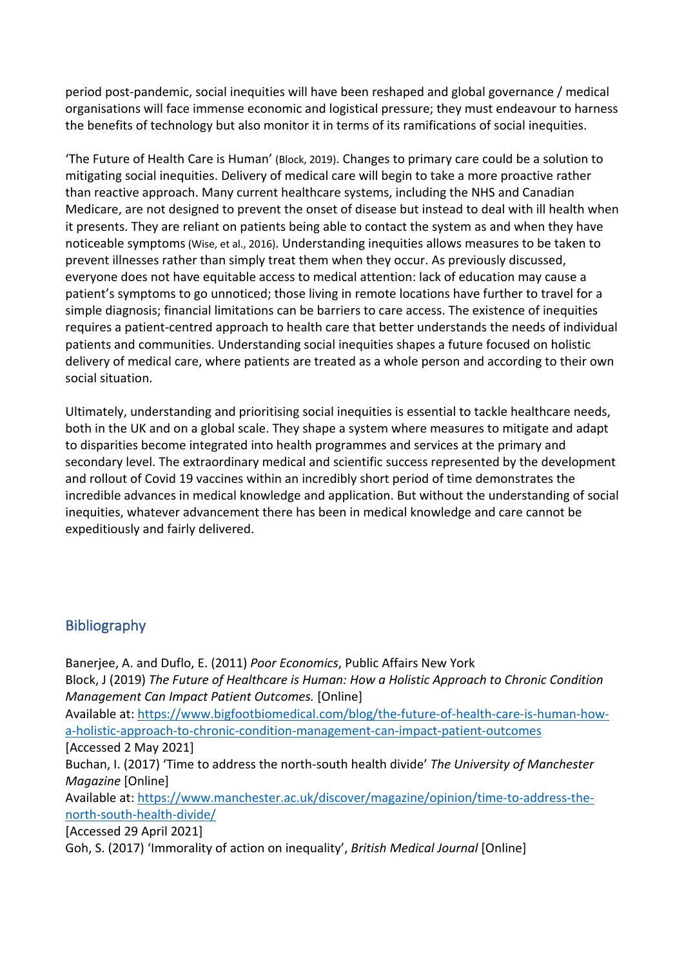period post-pandemic, social inequities will have been reshaped and global governance / medical organisations will face immense economic and logistical pressure; they must endeavour to harness the benefits of technology but also monitor it in terms of its ramifications of social inequities.

'The Future of Health Care is Human' (Block, 2019). Changes to primary care could be a solution to mitigating social inequities. Delivery of medical care will begin to take a more proactive rather than reactive approach. Many current healthcare systems, including the NHS and Canadian Medicare, are not designed to prevent the onset of disease but instead to deal with ill health when it presents. They are reliant on patients being able to contact the system as and when they have noticeable symptoms(Wise, et al., 2016). Understanding inequities allows measures to be taken to prevent illnesses rather than simply treat them when they occur. As previously discussed, everyone does not have equitable access to medical attention: lack of education may cause a patient's symptoms to go unnoticed; those living in remote locations have further to travel for a simple diagnosis; financial limitations can be barriers to care access. The existence of inequities requires a patient-centred approach to health care that better understands the needs of individual patients and communities. Understanding social inequities shapes a future focused on holistic delivery of medical care, where patients are treated as a whole person and according to their own social situation.

Ultimately, understanding and prioritising social inequities is essential to tackle healthcare needs, both in the UK and on a global scale. They shape a system where measures to mitigate and adapt to disparities become integrated into health programmes and services at the primary and secondary level. The extraordinary medical and scientific success represented by the development and rollout of Covid 19 vaccines within an incredibly short period of time demonstrates the incredible advances in medical knowledge and application. But without the understanding of social inequities, whatever advancement there has been in medical knowledge and care cannot be expeditiously and fairly delivered.

## Bibliography

Banerjee, A. and Duflo, E. (2011) *Poor Economics*, Public Affairs New York Block, J (2019) *The Future of Healthcare is Human: How a Holistic Approach to Chronic Condition Management Can Impact Patient Outcomes.* [Online] Available at: https://www.bigfootbiomedical.com/blog/the-future-of-health-care-is-human-howa-holistic-approach-to-chronic-condition-management-can-impact-patient-outcomes [Accessed 2 May 2021] Buchan, I. (2017) 'Time to address the north-south health divide' *The University of Manchester Magazine* [Online] Available at: https://www.manchester.ac.uk/discover/magazine/opinion/time-to-address-thenorth-south-health-divide/ [Accessed 29 April 2021] Goh, S. (2017) 'Immorality of action on inequality', *British Medical Journal* [Online]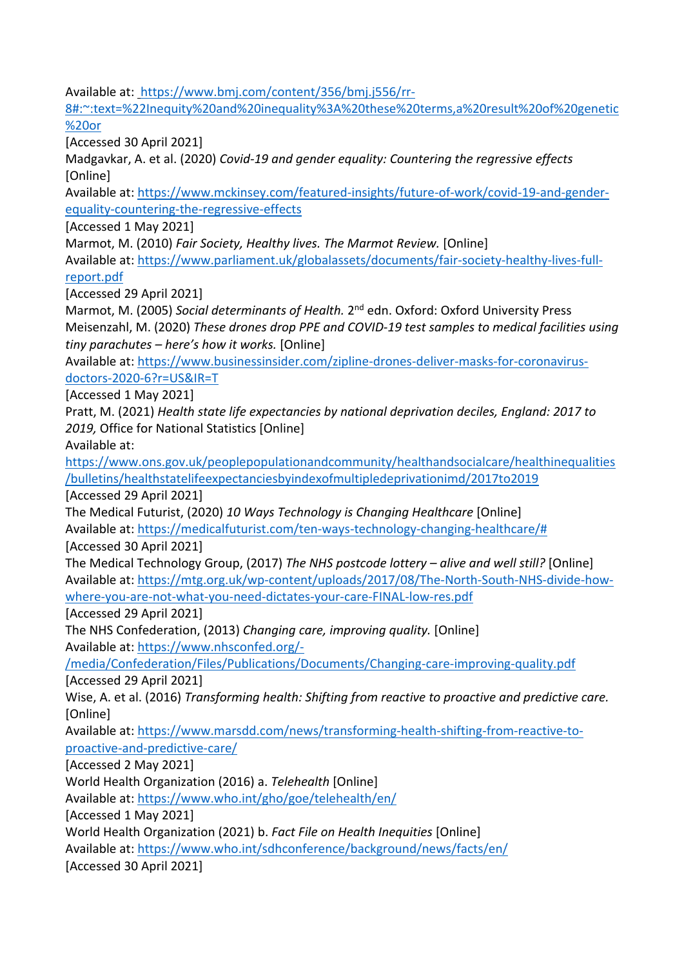Available at: https://www.bmj.com/content/356/bmj.j556/rr-

8#:~:text=%22Inequity%20and%20inequality%3A%20these%20terms,a%20result%20of%20genetic %20or

[Accessed 30 April 2021]

Madgavkar, A. et al. (2020) *Covid-19 and gender equality: Countering the regressive effects*  [Online]

Available at: https://www.mckinsey.com/featured-insights/future-of-work/covid-19-and-genderequality-countering-the-regressive-effects

[Accessed 1 May 2021]

Marmot, M. (2010) *Fair Society, Healthy lives. The Marmot Review.* [Online]

Available at: https://www.parliament.uk/globalassets/documents/fair-society-healthy-lives-fullreport.pdf

[Accessed 29 April 2021]

Marmot, M. (2005) *Social determinants of Health.* 2nd edn. Oxford: Oxford University Press Meisenzahl, M. (2020) *These drones drop PPE and COVID-19 test samples to medical facilities using tiny parachutes – here's how it works.* [Online]

Available at: https://www.businessinsider.com/zipline-drones-deliver-masks-for-coronavirusdoctors-2020-6?r=US&IR=T

[Accessed 1 May 2021]

Pratt, M. (2021) *Health state life expectancies by national deprivation deciles, England: 2017 to 2019,* Office for National Statistics [Online]

Available at:

https://www.ons.gov.uk/peoplepopulationandcommunity/healthandsocialcare/healthinequalities /bulletins/healthstatelifeexpectanciesbyindexofmultipledeprivationimd/2017to2019

[Accessed 29 April 2021]

The Medical Futurist, (2020) *10 Ways Technology is Changing Healthcare* [Online] Available at: https://medicalfuturist.com/ten-ways-technology-changing-healthcare/# [Accessed 30 April 2021]

The Medical Technology Group, (2017) *The NHS postcode lottery – alive and well still?* [Online] Available at: https://mtg.org.uk/wp-content/uploads/2017/08/The-North-South-NHS-divide-howwhere-you-are-not-what-you-need-dictates-your-care-FINAL-low-res.pdf

[Accessed 29 April 2021]

The NHS Confederation, (2013) *Changing care, improving quality.* [Online] Available at: https://www.nhsconfed.org/-

/media/Confederation/Files/Publications/Documents/Changing-care-improving-quality.pdf [Accessed 29 April 2021]

Wise, A. et al. (2016) *Transforming health: Shifting from reactive to proactive and predictive care.*  [Online]

Available at: https://www.marsdd.com/news/transforming-health-shifting-from-reactive-toproactive-and-predictive-care/

[Accessed 2 May 2021]

World Health Organization (2016) a. *Telehealth* [Online]

Available at: https://www.who.int/gho/goe/telehealth/en/

[Accessed 1 May 2021]

World Health Organization (2021) b. *Fact File on Health Inequities* [Online]

Available at: https://www.who.int/sdhconference/background/news/facts/en/

[Accessed 30 April 2021]